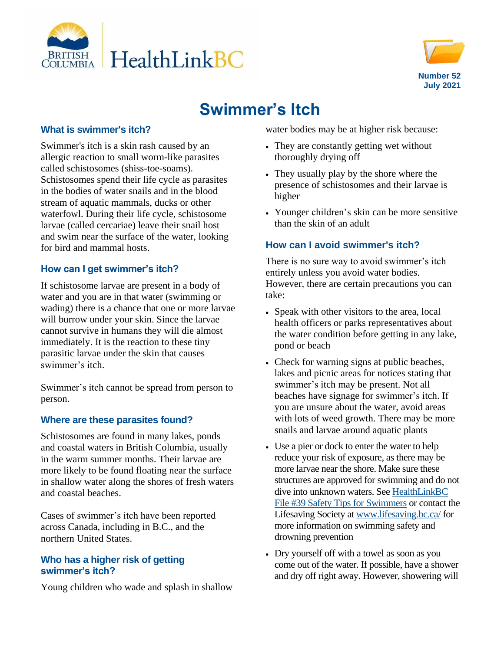



# **Swimmer's Itch**

### **What is swimmer's itch?**

Swimmer's itch is a skin rash caused by an allergic reaction to small worm-like parasites called schistosomes (shiss-toe-soams). Schistosomes spend their life cycle as parasites in the bodies of water snails and in the blood stream of aquatic mammals, ducks or other waterfowl. During their life cycle, schistosome larvae (called cercariae) leave their snail host and swim near the surface of the water, looking for bird and mammal hosts.

# **How can I get swimmer's itch?**

If schistosome larvae are present in a body of water and you are in that water (swimming or wading) there is a chance that one or more larvae will burrow under your skin. Since the larvae cannot survive in humans they will die almost immediately. It is the reaction to these tiny parasitic larvae under the skin that causes swimmer's itch.

Swimmer's itch cannot be spread from person to person.

#### **Where are these parasites found?**

Schistosomes are found in many lakes, ponds and coastal waters in British Columbia, usually in the warm summer months. Their larvae are more likely to be found floating near the surface in shallow water along the shores of fresh waters and coastal beaches.

Cases of swimmer's itch have been reported across Canada, including in B.C., and the northern United States.

### **Who has a higher risk of getting swimmer's itch?**

Young children who wade and splash in shallow

water bodies may be at higher risk because:

- They are constantly getting wet without thoroughly drying off
- They usually play by the shore where the presence of schistosomes and their larvae is higher
- Younger children's skin can be more sensitive than the skin of an adult

## **How can I avoid swimmer's itch?**

There is no sure way to avoid swimmer's itch entirely unless you avoid water bodies. However, there are certain precautions you can take:

- Speak with other visitors to the area, local health officers or parks representatives about the water condition before getting in any lake, pond or beach
- Check for warning signs at public beaches, lakes and picnic areas for notices stating that swimmer's itch may be present. Not all beaches have signage for swimmer's itch. If you are unsure about the water, avoid areas with lots of weed growth. There may be more snails and larvae around aquatic plants
- Use a pier or dock to enter the water to help reduce your risk of exposure, as there may be more larvae near the shore. Make sure these structures are approved for swimming and do not dive into unknown waters. Se[e HealthLinkBC](https://www.healthlinkbc.ca/healthlinkbc-files/swimmers-safety-tips)  [File #39 Safety Tips for Swimmers](https://www.healthlinkbc.ca/healthlinkbc-files/swimmers-safety-tips) or contact the Lifesaving Society at [www.lifesaving.bc.ca/](https://www.lifesaving.bc.ca/) for more information on swimming safety and drowning prevention
- Dry yourself off with a towel as soon as you come out of the water. If possible, have a shower and dry off right away. However, showering will